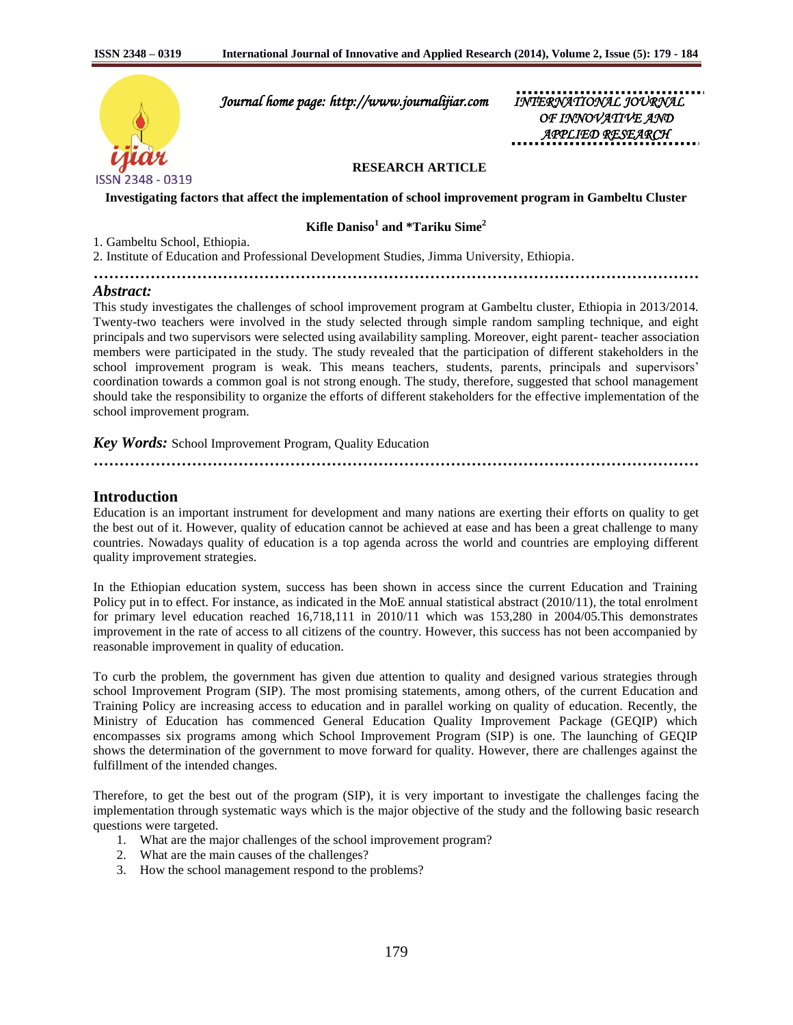

 *Journal home page: http://www.journalijiar.com INTERNATIONAL JOURNAL* 

 *OF INNOVATIVE AND APPLIED RESEARCH* 

### **RESEARCH ARTICLE**

**Investigating factors that affect the implementation of school improvement program in Gambeltu Cluster**

**Kifle Daniso<sup>1</sup> and \*Tariku Sime<sup>2</sup>**

**………………………………………………………………………………………………………**

1. Gambeltu School, Ethiopia.

2. Institute of Education and Professional Development Studies, Jimma University, Ethiopia.

# *Abstract:*

This study investigates the challenges of school improvement program at Gambeltu cluster, Ethiopia in 2013/2014. Twenty-two teachers were involved in the study selected through simple random sampling technique, and eight principals and two supervisors were selected using availability sampling. Moreover, eight parent- teacher association members were participated in the study. The study revealed that the participation of different stakeholders in the school improvement program is weak. This means teachers, students, parents, principals and supervisors' coordination towards a common goal is not strong enough. The study, therefore, suggested that school management should take the responsibility to organize the efforts of different stakeholders for the effective implementation of the school improvement program.

### *Key Words:* School Improvement Program, Quality Education

**………………………………………………………………………………………………………**

### **Introduction**

Education is an important instrument for development and many nations are exerting their efforts on quality to get the best out of it. However, quality of education cannot be achieved at ease and has been a great challenge to many countries. Nowadays quality of education is a top agenda across the world and countries are employing different quality improvement strategies.

In the Ethiopian education system, success has been shown in access since the current Education and Training Policy put in to effect. For instance, as indicated in the MoE annual statistical abstract (2010/11), the total enrolment for primary level education reached 16,718,111 in 2010/11 which was 153,280 in 2004/05.This demonstrates improvement in the rate of access to all citizens of the country. However, this success has not been accompanied by reasonable improvement in quality of education.

To curb the problem, the government has given due attention to quality and designed various strategies through school Improvement Program (SIP). The most promising statements, among others, of the current Education and Training Policy are increasing access to education and in parallel working on quality of education. Recently, the Ministry of Education has commenced General Education Quality Improvement Package (GEQIP) which encompasses six programs among which School Improvement Program (SIP) is one. The launching of GEQIP shows the determination of the government to move forward for quality. However, there are challenges against the fulfillment of the intended changes.

Therefore, to get the best out of the program (SIP), it is very important to investigate the challenges facing the implementation through systematic ways which is the major objective of the study and the following basic research questions were targeted.

- 1. What are the major challenges of the school improvement program?
- 2. What are the main causes of the challenges?
- 3. How the school management respond to the problems?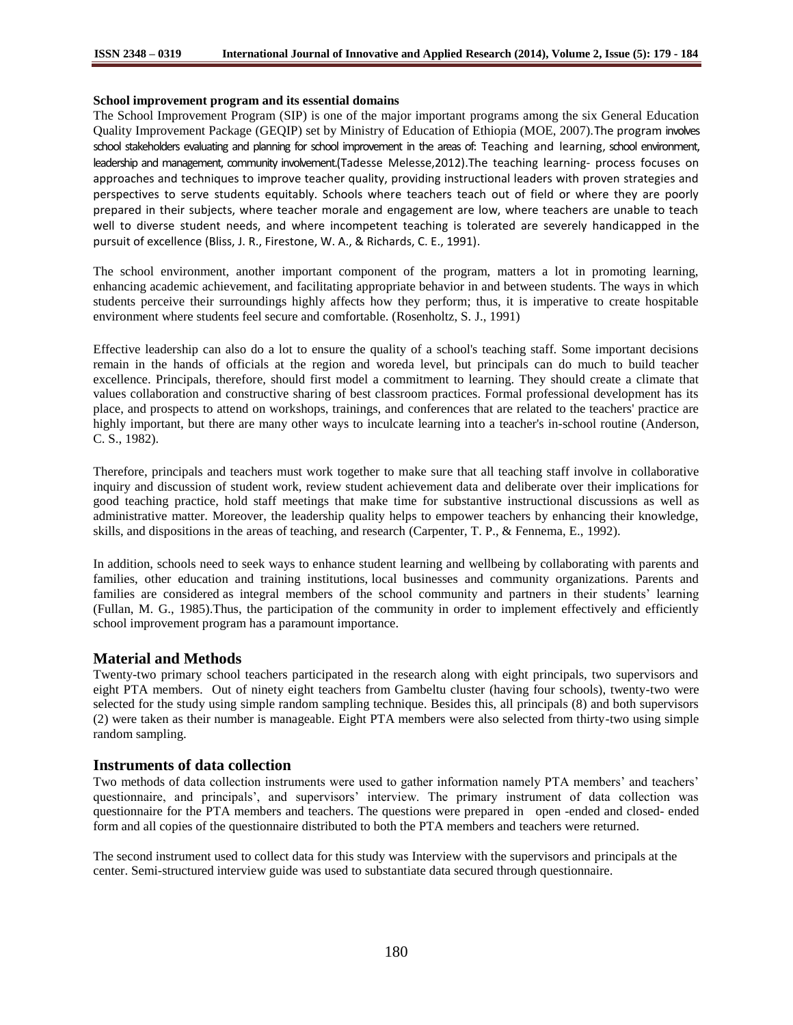### **School improvement program and its essential domains**

The School Improvement Program (SIP) is one of the major important programs among the six General Education Quality Improvement Package (GEQIP) set by Ministry of Education of Ethiopia (MOE, 2007).The program involves school stakeholders evaluating and planning for school improvement in the areas of: Teaching and learning, school environment, leadership and management, community involvement.(Tadesse Melesse,2012).The teaching learning- process focuses on approaches and techniques to improve teacher quality, providing instructional leaders with proven strategies and perspectives to serve students equitably. Schools where teachers teach out of field or where they are poorly prepared in their subjects, where teacher morale and engagement are low, where teachers are unable to teach well to diverse student needs, and where incompetent teaching is tolerated are severely handicapped in the pursuit of excellence (Bliss, J. R., Firestone, W. A., & Richards, C. E., 1991).

The school environment, another important component of the program, matters a lot in promoting learning, enhancing academic achievement, and facilitating appropriate behavior in and between students. The ways in which students perceive their surroundings highly affects how they perform; thus, it is imperative to create hospitable environment where students feel secure and comfortable. (Rosenholtz, S. J., 1991)

Effective leadership can also do a lot to ensure the quality of a school's teaching staff. Some important decisions remain in the hands of officials at the region and woreda level, but principals can do much to build teacher excellence. Principals, therefore, should first model a commitment to learning. They should create a climate that values collaboration and constructive sharing of best classroom practices. Formal professional development has its place, and prospects to attend on workshops, trainings, and conferences that are related to the teachers' practice are highly important, but there are many other ways to inculcate learning into a teacher's in-school routine (Anderson, C. S., 1982).

Therefore, principals and teachers must work together to make sure that all teaching staff involve in collaborative inquiry and discussion of student work, review student achievement data and deliberate over their implications for good teaching practice, hold staff meetings that make time for substantive instructional discussions as well as administrative matter. Moreover, the leadership quality helps to empower teachers by enhancing their knowledge, skills, and dispositions in the areas of teaching, and research (Carpenter, T. P., & Fennema, E., 1992).

In addition, schools need to seek ways to enhance student learning and wellbeing by collaborating with parents and families, other education and training institutions, local businesses and community organizations. Parents and families are considered as integral members of the school community and partners in their students' learning (Fullan, M. G., 1985).Thus, the participation of the community in order to implement effectively and efficiently school improvement program has a paramount importance.

# **Material and Methods**

Twenty-two primary school teachers participated in the research along with eight principals, two supervisors and eight PTA members. Out of ninety eight teachers from Gambeltu cluster (having four schools), twenty-two were selected for the study using simple random sampling technique. Besides this, all principals (8) and both supervisors (2) were taken as their number is manageable. Eight PTA members were also selected from thirty-two using simple random sampling.

### **Instruments of data collection**

Two methods of data collection instruments were used to gather information namely PTA members' and teachers' questionnaire, and principals', and supervisors' interview. The primary instrument of data collection was questionnaire for the PTA members and teachers. The questions were prepared in open -ended and closed- ended form and all copies of the questionnaire distributed to both the PTA members and teachers were returned.

The second instrument used to collect data for this study was Interview with the supervisors and principals at the center. Semi-structured interview guide was used to substantiate data secured through questionnaire.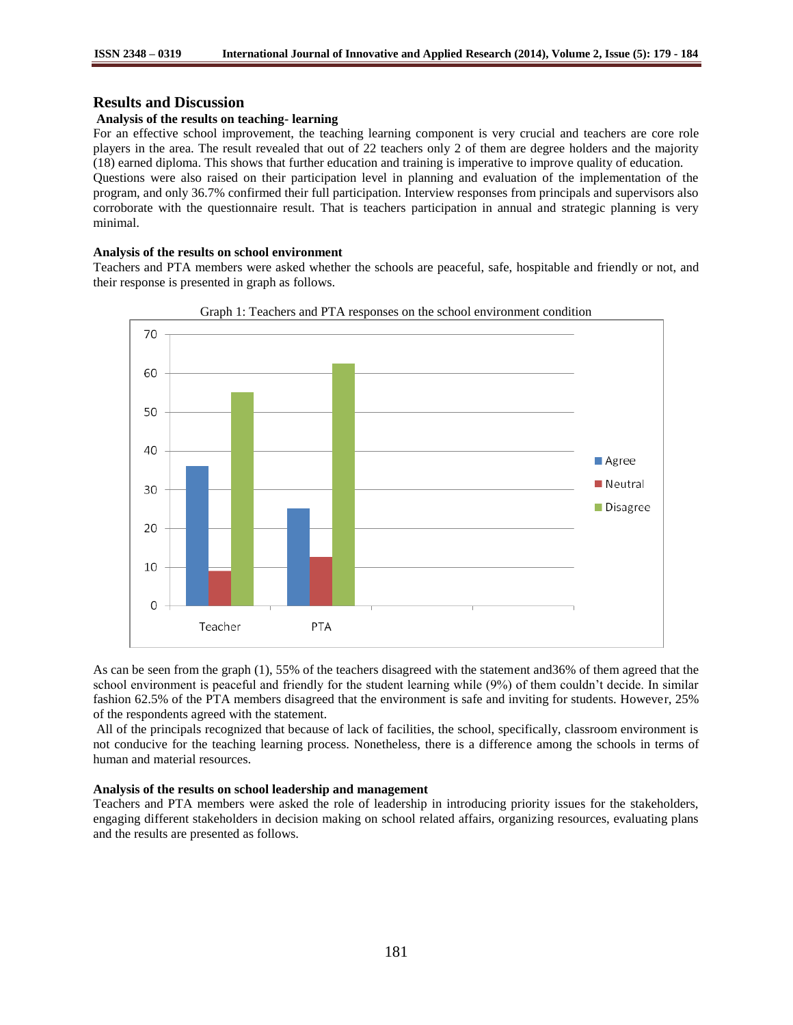## **Results and Discussion**

#### **Analysis of the results on teaching- learning**

For an effective school improvement, the teaching learning component is very crucial and teachers are core role players in the area. The result revealed that out of 22 teachers only 2 of them are degree holders and the majority (18) earned diploma. This shows that further education and training is imperative to improve quality of education. Questions were also raised on their participation level in planning and evaluation of the implementation of the program, and only 36.7% confirmed their full participation. Interview responses from principals and supervisors also corroborate with the questionnaire result. That is teachers participation in annual and strategic planning is very minimal.

#### **Analysis of the results on school environment**

Teachers and PTA members were asked whether the schools are peaceful, safe, hospitable and friendly or not, and their response is presented in graph as follows.





As can be seen from the graph (1), 55% of the teachers disagreed with the statement and36% of them agreed that the school environment is peaceful and friendly for the student learning while (9%) of them couldn't decide. In similar fashion 62.5% of the PTA members disagreed that the environment is safe and inviting for students. However, 25% of the respondents agreed with the statement.

All of the principals recognized that because of lack of facilities, the school, specifically, classroom environment is not conducive for the teaching learning process. Nonetheless, there is a difference among the schools in terms of human and material resources.

#### **Analysis of the results on school leadership and management**

Teachers and PTA members were asked the role of leadership in introducing priority issues for the stakeholders, engaging different stakeholders in decision making on school related affairs, organizing resources, evaluating plans and the results are presented as follows.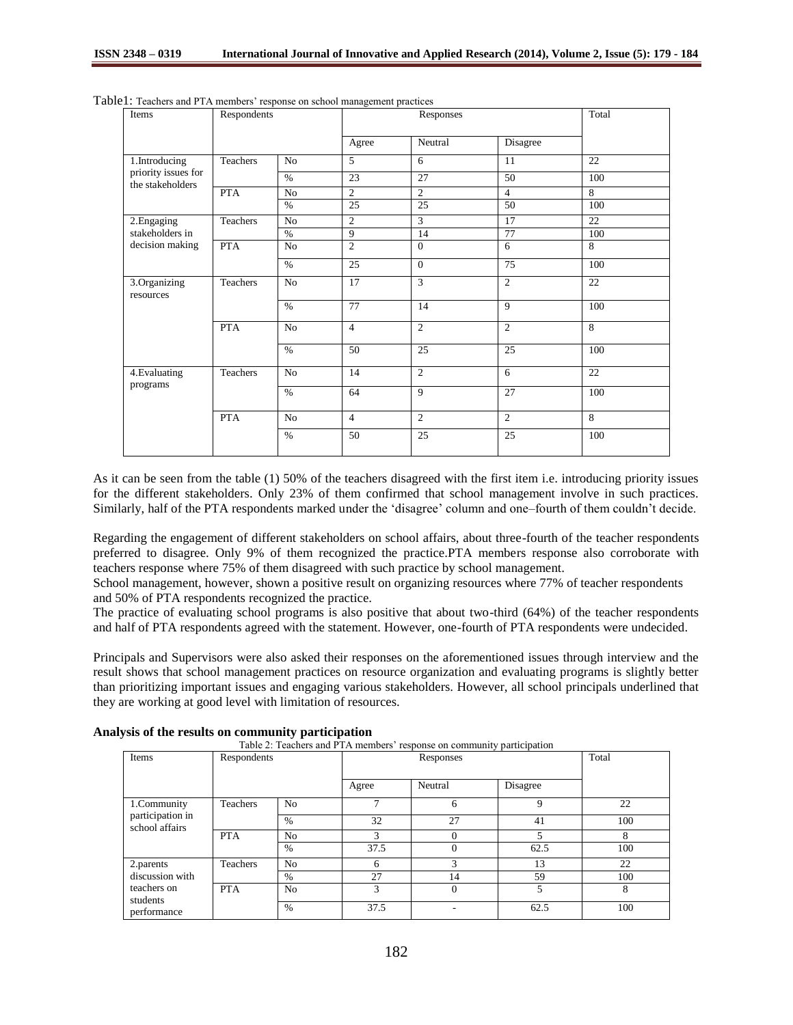| Items                                                    | Respondents |                | Responses       |                |                | Total          |
|----------------------------------------------------------|-------------|----------------|-----------------|----------------|----------------|----------------|
|                                                          |             |                | Agree           | Neutral        | Disagree       |                |
| 1.Introducing<br>priority issues for<br>the stakeholders | Teachers    | N <sub>o</sub> | 5               | 6              | 11             | 22             |
|                                                          |             | $\%$           | 23              | 27             | 50             | 100            |
|                                                          | <b>PTA</b>  | No             | $\overline{2}$  | $\mathfrak{2}$ | $\overline{4}$ | 8              |
|                                                          |             | $\%$           | 25              | 25             | 50             | 100            |
| 2. Engaging<br>stakeholders in<br>decision making        | Teachers    | No             | $\overline{c}$  | $\overline{3}$ | 17             | 22             |
|                                                          |             | $\%$           | 9               | 14             | 77             | 100            |
|                                                          | <b>PTA</b>  | N <sub>o</sub> | $\overline{c}$  | $\Omega$       | 6              | 8              |
|                                                          |             | $\%$           | $\overline{25}$ | $\Omega$       | 75             | 100            |
| 3.Organizing<br>resources                                | Teachers    | N <sub>o</sub> | 17              | 3              | $\overline{c}$ | 22             |
|                                                          |             | $\%$           | 77              | 14             | 9              | 100            |
|                                                          | <b>PTA</b>  | No             | $\overline{4}$  | $\overline{2}$ | $\overline{c}$ | 8              |
|                                                          |             | $\%$           | 50              | 25             | 25             | 100            |
| 4. Evaluating<br>programs                                | Teachers    | N <sub>o</sub> | 14              | 2              | 6              | 22             |
|                                                          |             | $\%$           | 64              | $\mathbf{Q}$   | 27             | 100            |
|                                                          | <b>PTA</b>  | No             | $\overline{4}$  | 2              | $\overline{2}$ | $\overline{8}$ |
|                                                          |             | $\%$           | 50              | 25             | 25             | 100            |

Table1: Teachers and PTA members' response on school management practices

As it can be seen from the table (1) 50% of the teachers disagreed with the first item i.e. introducing priority issues for the different stakeholders. Only 23% of them confirmed that school management involve in such practices. Similarly, half of the PTA respondents marked under the 'disagree' column and one–fourth of them couldn't decide.

Regarding the engagement of different stakeholders on school affairs, about three-fourth of the teacher respondents preferred to disagree. Only 9% of them recognized the practice.PTA members response also corroborate with teachers response where 75% of them disagreed with such practice by school management.

School management, however, shown a positive result on organizing resources where 77% of teacher respondents and 50% of PTA respondents recognized the practice.

The practice of evaluating school programs is also positive that about two-third (64%) of the teacher respondents and half of PTA respondents agreed with the statement. However, one-fourth of PTA respondents were undecided.

Principals and Supervisors were also asked their responses on the aforementioned issues through interview and the result shows that school management practices on resource organization and evaluating programs is slightly better than prioritizing important issues and engaging various stakeholders. However, all school principals underlined that they are working at good level with limitation of resources.

|                                                                        |             |                |           | Table 2: Teachers and PTA members' response on community participation |          |       |
|------------------------------------------------------------------------|-------------|----------------|-----------|------------------------------------------------------------------------|----------|-------|
| Items                                                                  | Respondents |                | Responses |                                                                        |          | Total |
|                                                                        |             |                | Agree     | Neutral                                                                | Disagree |       |
| 1.Community<br>participation in<br>school affairs                      | Teachers    | N <sub>0</sub> |           | 6                                                                      | 9        | 22    |
|                                                                        |             | $\%$           | 32        | 27                                                                     | 41       | 100   |
|                                                                        | <b>PTA</b>  | N <sub>o</sub> | 3         | 0                                                                      |          | 8     |
|                                                                        |             | $\%$           | 37.5      | $\theta$                                                               | 62.5     | 100   |
| 2.parents<br>discussion with<br>teachers on<br>students<br>performance | Teachers    | N <sub>o</sub> | 6         | $\mathcal{R}$                                                          | 13       | 22    |
|                                                                        |             | $\%$           | 27        | 14                                                                     | 59       | 100   |
|                                                                        | <b>PTA</b>  | N <sub>o</sub> | 3         | $\Omega$                                                               |          | 8     |
|                                                                        |             | $\%$           | 37.5      |                                                                        | 62.5     | 100   |

**Analysis of the results on community participation**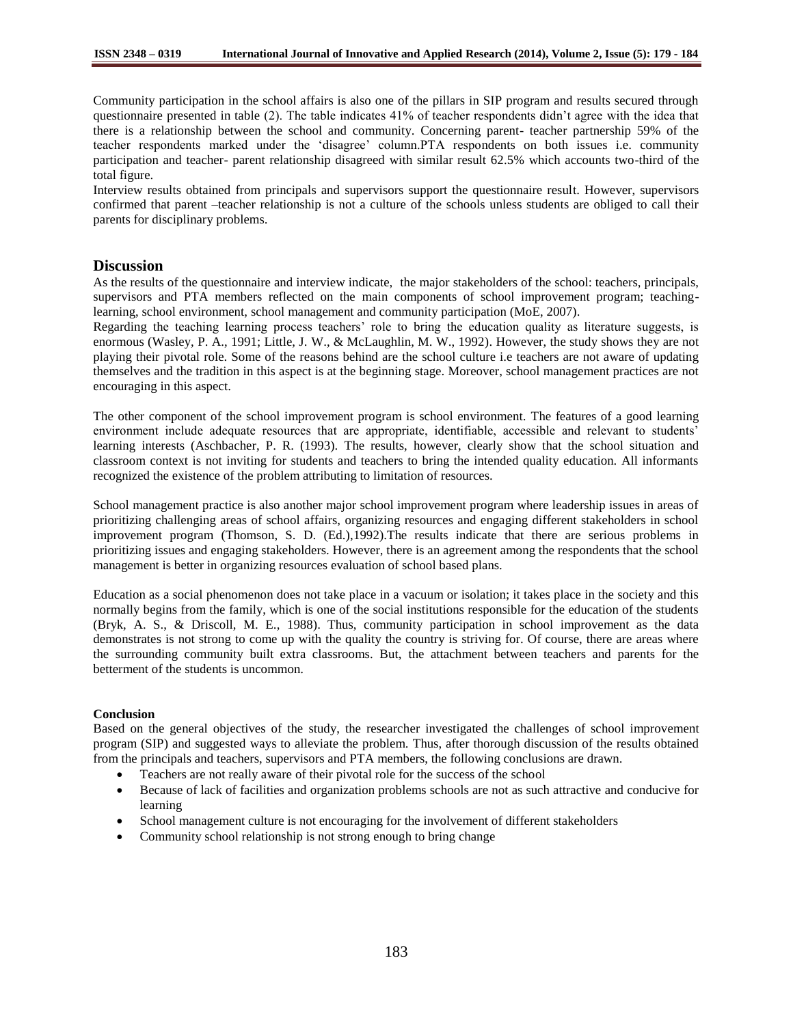Community participation in the school affairs is also one of the pillars in SIP program and results secured through questionnaire presented in table (2). The table indicates 41% of teacher respondents didn't agree with the idea that there is a relationship between the school and community. Concerning parent- teacher partnership 59% of the teacher respondents marked under the 'disagree' column.PTA respondents on both issues i.e. community participation and teacher- parent relationship disagreed with similar result 62.5% which accounts two-third of the total figure.

Interview results obtained from principals and supervisors support the questionnaire result. However, supervisors confirmed that parent –teacher relationship is not a culture of the schools unless students are obliged to call their parents for disciplinary problems.

# **Discussion**

As the results of the questionnaire and interview indicate, the major stakeholders of the school: teachers, principals, supervisors and PTA members reflected on the main components of school improvement program; teachinglearning, school environment, school management and community participation (MoE, 2007).

Regarding the teaching learning process teachers' role to bring the education quality as literature suggests, is enormous (Wasley, P. A., 1991; Little, J. W., & McLaughlin, M. W., 1992). However, the study shows they are not playing their pivotal role. Some of the reasons behind are the school culture i.e teachers are not aware of updating themselves and the tradition in this aspect is at the beginning stage. Moreover, school management practices are not encouraging in this aspect.

The other component of the school improvement program is school environment. The features of a good learning environment include adequate resources that are appropriate, identifiable, accessible and relevant to students' learning interests (Aschbacher, P. R. (1993). The results, however, clearly show that the school situation and classroom context is not inviting for students and teachers to bring the intended quality education. All informants recognized the existence of the problem attributing to limitation of resources.

School management practice is also another major school improvement program where leadership issues in areas of prioritizing challenging areas of school affairs, organizing resources and engaging different stakeholders in school improvement program (Thomson, S. D. (Ed.),1992).The results indicate that there are serious problems in prioritizing issues and engaging stakeholders. However, there is an agreement among the respondents that the school management is better in organizing resources evaluation of school based plans.

Education as a social phenomenon does not take place in a vacuum or isolation; it takes place in the society and this normally begins from the family, which is one of the social institutions responsible for the education of the students (Bryk, A. S., & Driscoll, M. E., 1988). Thus, community participation in school improvement as the data demonstrates is not strong to come up with the quality the country is striving for. Of course, there are areas where the surrounding community built extra classrooms. But, the attachment between teachers and parents for the betterment of the students is uncommon.

### **Conclusion**

Based on the general objectives of the study, the researcher investigated the challenges of school improvement program (SIP) and suggested ways to alleviate the problem. Thus, after thorough discussion of the results obtained from the principals and teachers, supervisors and PTA members, the following conclusions are drawn.

- Teachers are not really aware of their pivotal role for the success of the school
- Because of lack of facilities and organization problems schools are not as such attractive and conducive for learning
- School management culture is not encouraging for the involvement of different stakeholders
- Community school relationship is not strong enough to bring change